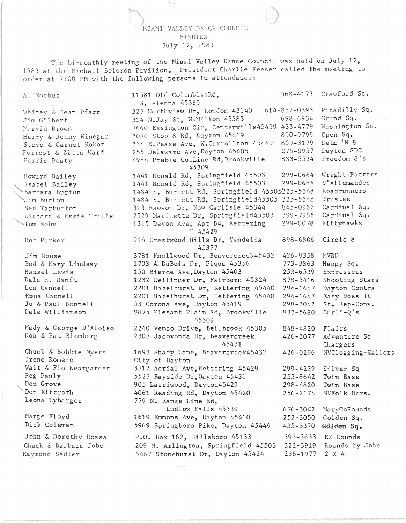MIAMI VALLEY DANCE COUNCIL MINUTES July 12, 1983

The hi-monthly meeting of the Hiami Valley Dance Council was held on July 12, 1983 at the Michael Solomon Pavilion. President Charlie Feeser called the meeting to order at 7:00 PM with the following persons in attendance:

Al Moebus Whitey & Jean Pfarr Jim Gilbert Marvin Brown Harry & Jenny Winegar Steve & Garnet Kokot Forrest & Zitta Ward Farris Beaty Howard Bailey Isabel Bailey ~Barbara Burton Jim Burton Sed Tarbutton , Richard & Essie Tritle 'Tom Roby Rob Parker Jim Mouse Bud & Mary Lindsay Hansel Lewis Dale H. Ranft Len Cannell Mona Cannell Jo & Paul Bonnell Dale Williamson Mady & George D'Aloiso Don & Pat Blomberg Chuck & Bobbie Myers Irene Romero Walt & Flo Neargarder Peg Pauly Don Grove Don El tzroth Leona Lybarger Marge Floyd Dick Coleman John & Dorothy Roasa Chuck & Barbara Jobe Raymond Sadler 11581 Old Columbus;Rd. S. Vienna 45369 568-4173 Crawford Sq. 327 Northview Dr, London 43140 314 N.Jay St, W~Milton 45383 614-852-0393 698-6934 7660 Essington Cir, Centerville45459 433-4779 3070 Stop 8 Rd, Dayton 45419 334 E.Pease Ave, W.Carrollton 45449 255 Delaware Ave,Dayton 45405 4984 Preble Co.Line Rd, Brookville 45309 890-9799 859-3179 275-0957 833-5524 1441 Ronald Rd, Springfield 45503 299-0684 1441 Ronald Rd, Springfield 45503 299-0684 1484 S. Burnett Rd, Springfield 45505/325-5348 1484 S. Burnett Rd, Springfield45505 325-5348 313 Rawson Dr, New Carlisle 45344 845-0962 2529 Marinette Dr, Springfield45503 399-7956 1315 Devon Ave, Apt B4, Kettering 299-0078 914 Crestwood Hills Dr, Vandalia 45377 3781 Knollwood Dr, Beavercreek45432 1703 A DuBois Dr, Piqua 45356 150 Bierce Ave, Dayton 45403 1232 Dellinger Dr, Fairborn 45324 2201 Hazelhurst Dr, Kettering 45440 2201 Hazelhurst Dr, Kettering 45440 53 Corona Ave, Dayton 45419 9875 Plesant Plain Rd, Brookville 45309 2240 Vemco Drive, Bellbrook 45305 2307 Jacovonda Dr, Beavercreek 45431 1693 Shady Lane, Beavercreek45432 City of Dayton 3712 Aerial Ave, Kettering 45429 5527 Bayside Dr,Dayton 45431 905 Larriwood, Dayton45429 4061 Reading Rd, Dayton 45420 779 N. Range Line Rd, 898-6806 426-9358 773-3863 253-6539 878-5416 294-1647 294-1647 298-3042 833-5680 848-4820 426-3077 426-0296 299-4239 253-8642 298-4820 256-2174 Picadilly Sq. Grand Sq. Washington Sq. Open Sq. Date 'N 8 Dayton SDC Freedom 8's Wright-Patters S' Allemandes Roadrunners Trustee Cardinal Sq. Cardinal Sq. Kittyhawks Circle 8 MVRD Happy Sq. Expressers Shooting Stars Dayton Contra Easy Does It St. Rep-Conv.  $Curli-Q's$ Flairs Adventure Sq Chargers MVClogging-Gallers Silver Sq Twin Base Twin Base MVFolk Dcrs. Ludlow Falls 45339 1619 Emmons Ave, Dayton 45410 5969 Springboro Pike, Dayton 45449 616-3042 MaryGoRounds 252-3050 Golden Sq. 435-3370 .Gdl<del>den</del> Sq. P.O. Box 162, Hillsboro 45133 393-3633 209 N. Arlington, Springfield 45503 '322-3919 6467 Stonehurst Dr, Dayton 45424 236-1977 EZ Rounds Rounds by Jobe 2 X 4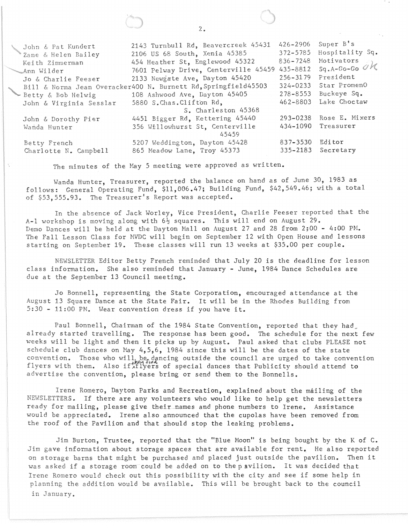| John & Pat Kundert<br>₹Zane & Helen Bailey<br>Keith Zimmerman | 2143 Turnbull Rd, Beavercreek 45431<br>2106 US 68 South, Xenia 45385<br>454 Heather St, Englewood 45322<br>7601 Pelway Drive, Centerville 45459 435-8812 | 426-2906<br>$372 - 5785$<br>$836 - 7248$ | Super $B$ <sup>'</sup> s<br>Hospitality Sq.<br>Motivators $\mathbb{F}_1$<br>$Sq.A-Go-Go$ $OK$ |
|---------------------------------------------------------------|----------------------------------------------------------------------------------------------------------------------------------------------------------|------------------------------------------|-----------------------------------------------------------------------------------------------|
| Ann Wilder<br>Jo & Charlie Feeser                             | 2133 Newgate Ave, Dayton 45420                                                                                                                           | $256 - 3179$                             | President                                                                                     |
|                                                               | Bill & Norma Jean Overacker400 N. Burnett Rd, Springfield45503                                                                                           |                                          | 324-0233 Star PromenO                                                                         |
| - Betty & Bob Helwig                                          | 108 Ashwood Ave, Dayton 45405                                                                                                                            | 278-8553                                 | Buckeye Sq.                                                                                   |
| John & Virginia Sesslar                                       | 5880 S.Chas.Clifton Rd,                                                                                                                                  | 462-8803                                 | Lake Choctaw                                                                                  |
|                                                               | S. Charleston 45368                                                                                                                                      |                                          |                                                                                               |
| John & Dorothy Pier                                           | 4451 Bigger Rd, Kettering 45440                                                                                                                          |                                          | 293-0238 Rose E. Mixers                                                                       |
| Wanda Hunter                                                  | 356 Willowhurst St, Centerville<br>45459                                                                                                                 |                                          | 434-1090 Treasurer                                                                            |
| Betty French                                                  | 5207 Weddington, Dayton 45428                                                                                                                            | 837-3530                                 | Editor                                                                                        |
| Charlotte N. Campbell                                         | 865 Meadow Lane, Troy 45373                                                                                                                              | $335 - 2183$                             | Secretary                                                                                     |
|                                                               |                                                                                                                                                          |                                          |                                                                                               |

The minutes of the May 5 meeting were approved as written.

Wanda Hunter, Treasurer, reported the balance on hand as of June 30, 1983 as follows: General Operating Fund, \$11,006.47; Building Fund, \$42,549.46; with a total of \$53,555.93. The Treasurer's Report was accepted.

In the absence of Jack Worley, Vice President, Charlie Feeser reported that the A-1 workshop is moving along with  $6\frac{1}{2}$  squares. This will end on August 29. Demo Dances will be held at the Dayton Mall on August 27 and 28 from 2:00 - 4:00 PM. The Fall Lesson Class for MVDC will begin on September 12 with Open House and lessons starting on September 19. These classes will run 13 weeks at \$35.00 per couple.

NEWSLETTER Editor Betty French reminded that July 20 is the deadline for lesson class information. She also reminded that January - June, 1984 Dance Schedules are due at the September 13 Council meeting.

Jo Bonnell, representing the State Corporation, encouraged attendance at the August 13 Square Dance at the State Fair. It will be in the Rhodes Building from 5:30 - 11:00 PM. Wear convention dress if you have it.

Paul Bonnell, Chairman of the 1984 State Convention, reported that they had already started travelling. The response has been good. The schedule for the next few weeks will be light and then it picks up by August. Paul asked that clubs PLEASE not schedule club dances on May 4,5,6, 1984 since this will be the dates of the state convention. Those who will be dancing outside the council are urged to take convention<br>flyers with them. Also if firstlyers of special dances that Publicity should attend to advertise the convention, please bring or send them to the Bonnells.

Irene Romero, Dayton Parks and Recreation, explained about the mailing of the NEWSLETTERS. If there are any volunteers who would like to help get the newsletters ready for mailing, please give their names and phone numbers to Irene. Assistance would be appreciated. Irene also announced that the cupolas have been removed from the roof of the Pavilion and that should stop the leaking problems.

Jim Burton, Trustee, reported that the "Blue Moon" is being bought by the K of C. Jim gave information about storage spaces that are available for rent. He also reported on storage barns that might be purchased and placed just outside the pavilion. Then it was asked if a storage room could be added on to the pavilion. It was decided that Irene Romero would check out this possibility with the city and see if some help in planning the addition would be available. This will be brought back to the council in January.

 $2.$